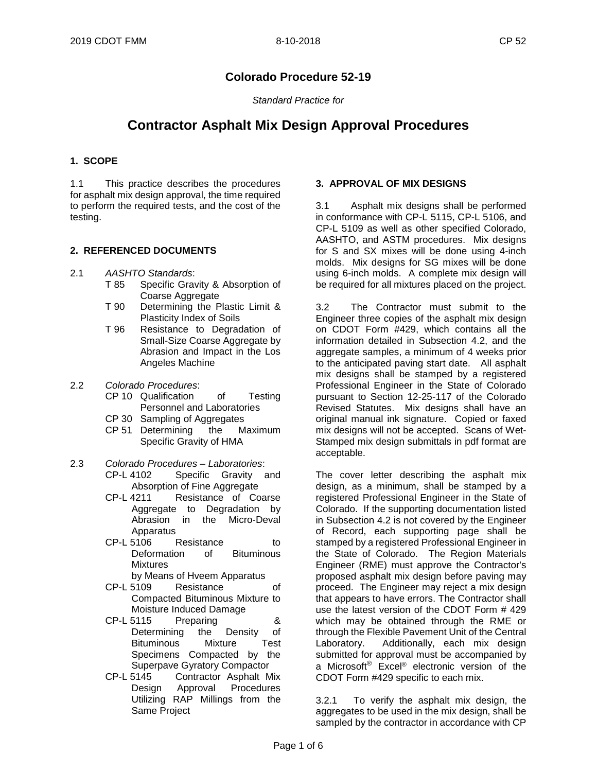## **Colorado Procedure 52-19**

*Standard Practice for*

# **Contractor Asphalt Mix Design Approval Procedures**

#### **1. SCOPE**

1.1 This practice describes the procedures for asphalt mix design approval, the time required to perform the required tests, and the cost of the testing.

#### **2. REFERENCED DOCUMENTS**

- 2.1 *AASHTO Standards*:
	- Specific Gravity & Absorption of Coarse Aggregate
	- T 90 Determining the Plastic Limit & Plasticity Index of Soils
	- T 96 Resistance to Degradation of Small-Size Coarse Aggregate by Abrasion and Impact in the Los Angeles Machine
- 2.2 *Colorado Procedures*:
	- CP 10 Qualification of Testing Personnel and Laboratories
	- CP 30 Sampling of Aggregates
	- CP 51 Determining the Maximum Specific Gravity of HMA
- 2.3 *Colorado Procedures – Laboratories*: Specific Gravity and Absorption of Fine Aggregate
	- CP-L 4211 Resistance of Coarse Aggregate to Degradation by Abrasion in the Micro-Deval Apparatus<br>CP-L 5106 I
	- Resistance to Deformation of Bituminous Mixtures
	- by Means of Hveem Apparatus<br>CP-L 5109 Resistance
	- Resistance of Compacted Bituminous Mixture to Moisture Induced Damage
	- CP-L 5115 Preparing & Determining the Density of Bituminous Mixture Test Specimens Compacted by the Superpave Gyratory Compactor<br>CP-L 5145 Contractor Asphalt M
	- Contractor Asphalt Mix Design Approval Procedures Utilizing RAP Millings from the Same Project

#### **3. APPROVAL OF MIX DESIGNS**

3.1 Asphalt mix designs shall be performed in conformance with CP-L 5115, CP-L 5106, and CP-L 5109 as well as other specified Colorado, AASHTO, and ASTM procedures. Mix designs for S and SX mixes will be done using 4-inch molds. Mix designs for SG mixes will be done using 6-inch molds. A complete mix design will be required for all mixtures placed on the project.

3.2 The Contractor must submit to the Engineer three copies of the asphalt mix design on CDOT Form #429, which contains all the information detailed in Subsection 4.2, and the aggregate samples, a minimum of 4 weeks prior to the anticipated paving start date. All asphalt mix designs shall be stamped by a registered Professional Engineer in the State of Colorado pursuant to Section 12-25-117 of the Colorado Revised Statutes. Mix designs shall have an original manual ink signature. Copied or faxed mix designs will not be accepted. Scans of Wet-Stamped mix design submittals in pdf format are acceptable.

The cover letter describing the asphalt mix design, as a minimum, shall be stamped by a registered Professional Engineer in the State of Colorado. If the supporting documentation listed in Subsection 4.2 is not covered by the Engineer of Record, each supporting page shall be stamped by a registered Professional Engineer in the State of Colorado. The Region Materials Engineer (RME) must approve the Contractor's proposed asphalt mix design before paving may proceed. The Engineer may reject a mix design that appears to have errors. The Contractor shall use the latest version of the CDOT Form # 429 which may be obtained through the RME or through the Flexible Pavement Unit of the Central Laboratory. Additionally, each mix design submitted for approval must be accompanied by a Microsoft® Excel® electronic version of the CDOT Form #429 specific to each mix.

3.2.1 To verify the asphalt mix design, the aggregates to be used in the mix design, shall be sampled by the contractor in accordance with CP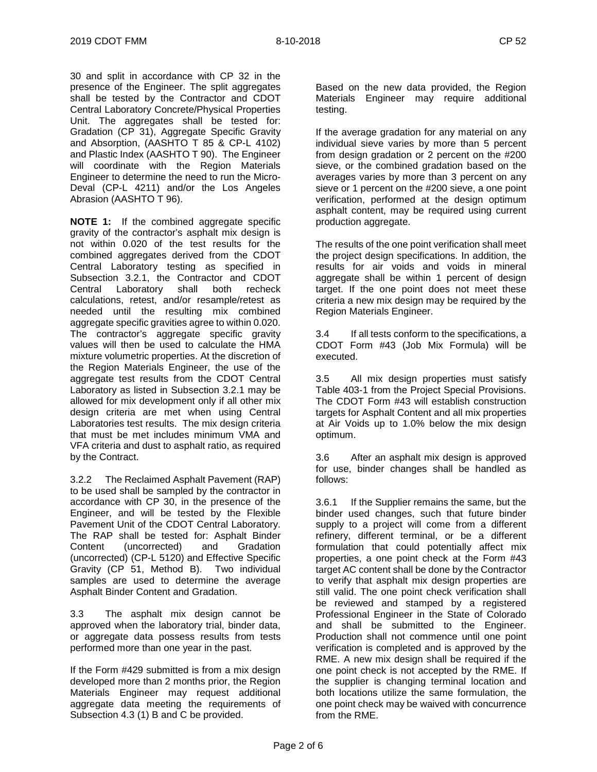30 and split in accordance with CP 32 in the presence of the Engineer. The split aggregates shall be tested by the Contractor and CDOT Central Laboratory Concrete/Physical Properties Unit. The aggregates shall be tested for: Gradation (CP 31), Aggregate Specific Gravity and Absorption, (AASHTO T 85 & CP-L 4102) and Plastic Index (AASHTO T 90). The Engineer will coordinate with the Region Materials Engineer to determine the need to run the Micro-Deval (CP-L 4211) and/or the Los Angeles Abrasion (AASHTO T 96).

**NOTE 1:** If the combined aggregate specific gravity of the contractor's asphalt mix design is not within 0.020 of the test results for the combined aggregates derived from the CDOT Central Laboratory testing as specified in Subsection 3.2.1, the Contractor and CDOT Central Laboratory shall both recheck calculations, retest, and/or resample/retest as needed until the resulting mix combined aggregate specific gravities agree to within 0.020. The contractor's aggregate specific gravity values will then be used to calculate the HMA mixture volumetric properties. At the discretion of the Region Materials Engineer, the use of the aggregate test results from the CDOT Central Laboratory as listed in Subsection 3.2.1 may be allowed for mix development only if all other mix design criteria are met when using Central Laboratories test results. The mix design criteria that must be met includes minimum VMA and VFA criteria and dust to asphalt ratio, as required by the Contract.

3.2.2 The Reclaimed Asphalt Pavement (RAP) to be used shall be sampled by the contractor in accordance with CP 30, in the presence of the Engineer, and will be tested by the Flexible Pavement Unit of the CDOT Central Laboratory. The RAP shall be tested for: Asphalt Binder Content (uncorrected) and Gradation (uncorrected) (CP-L 5120) and Effective Specific Gravity (CP 51, Method B). Two individual samples are used to determine the average Asphalt Binder Content and Gradation.

3.3 The asphalt mix design cannot be approved when the laboratory trial, binder data, or aggregate data possess results from tests performed more than one year in the past.

If the Form #429 submitted is from a mix design developed more than 2 months prior, the Region Materials Engineer may request additional aggregate data meeting the requirements of Subsection 4.3 (1) B and C be provided.

Based on the new data provided, the Region Materials Engineer may require additional testing.

If the average gradation for any material on any individual sieve varies by more than 5 percent from design gradation or 2 percent on the #200 sieve, or the combined gradation based on the averages varies by more than 3 percent on any sieve or 1 percent on the #200 sieve, a one point verification, performed at the design optimum asphalt content, may be required using current production aggregate.

The results of the one point verification shall meet the project design specifications. In addition, the results for air voids and voids in mineral aggregate shall be within 1 percent of design target. If the one point does not meet these criteria a new mix design may be required by the Region Materials Engineer.

3.4 If all tests conform to the specifications, a CDOT Form #43 (Job Mix Formula) will be executed.

3.5 All mix design properties must satisfy Table 403-1 from the Project Special Provisions. The CDOT Form #43 will establish construction targets for Asphalt Content and all mix properties at Air Voids up to 1.0% below the mix design optimum.

3.6 After an asphalt mix design is approved for use, binder changes shall be handled as follows:

3.6.1 If the Supplier remains the same, but the binder used changes, such that future binder supply to a project will come from a different refinery, different terminal, or be a different formulation that could potentially affect mix properties, a one point check at the Form #43 target AC content shall be done by the Contractor to verify that asphalt mix design properties are still valid. The one point check verification shall be reviewed and stamped by a registered Professional Engineer in the State of Colorado and shall be submitted to the Engineer. Production shall not commence until one point verification is completed and is approved by the RME. A new mix design shall be required if the one point check is not accepted by the RME. If the supplier is changing terminal location and both locations utilize the same formulation, the one point check may be waived with concurrence from the RME.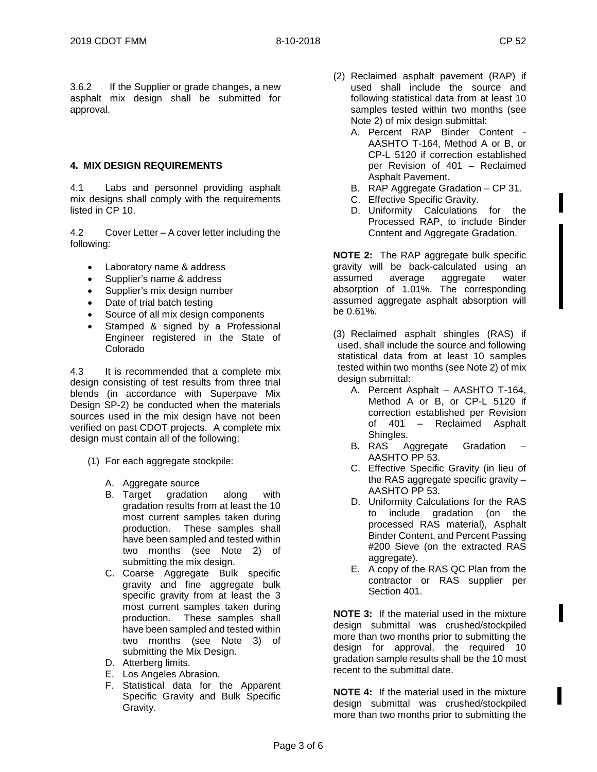3.6.2 If the Supplier or grade changes, a new asphalt mix design shall be submitted for approval.

#### **4. MIX DESIGN REQUIREMENTS**

4.1 Labs and personnel providing asphalt mix designs shall comply with the requirements listed in CP 10.

4.2 Cover Letter – A cover letter including the following:

- Laboratory name & address
- Supplier's name & address
- Supplier's mix design number
- Date of trial batch testing
- Source of all mix design components
- Stamped & signed by a Professional Engineer registered in the State of Colorado

4.3 It is recommended that a complete mix design consisting of test results from three trial blends (in accordance with Superpave Mix Design SP-2) be conducted when the materials sources used in the mix design have not been verified on past CDOT projects. A complete mix design must contain all of the following:

- (1) For each aggregate stockpile:
	- A. Aggregate source
	- B. Target gradation along with gradation results from at least the 10 most current samples taken during production. These samples shall have been sampled and tested within two months (see Note 2) of submitting the mix design.
	- C. Coarse Aggregate Bulk specific gravity and fine aggregate bulk specific gravity from at least the 3 most current samples taken during production. These samples shall have been sampled and tested within two months (see Note 3) of submitting the Mix Design.
	- D. Atterberg limits.
	- E. Los Angeles Abrasion.
	- F. Statistical data for the Apparent Specific Gravity and Bulk Specific Gravity.
- (2) Reclaimed asphalt pavement (RAP) if used shall include the source and following statistical data from at least 10 samples tested within two months (see Note 2) of mix design submittal:
	- A. Percent RAP Binder Content AASHTO T-164, Method A or B, or CP-L 5120 if correction established per Revision of 401 – Reclaimed Asphalt Pavement.
	- B. RAP Aggregate Gradation CP 31.
	- C. Effective Specific Gravity.
	- D. Uniformity Calculations for the Processed RAP, to include Binder Content and Aggregate Gradation.

**NOTE 2:** The RAP aggregate bulk specific gravity will be back-calculated using an assumed average aggregate water absorption of 1.01%. The corresponding assumed aggregate asphalt absorption will be 0.61%.

(3) Reclaimed asphalt shingles (RAS) if used, shall include the source and following statistical data from at least 10 samples tested within two months (see Note 2) of mix design submittal:

- A. Percent Asphalt AASHTO T-164, Method A or B, or CP-L 5120 if correction established per Revision of 401 – Reclaimed Asphalt Shingles.
- B. RAS Aggregate Gradation AASHTO PP 53.
- C. Effective Specific Gravity (in lieu of the RAS aggregate specific gravity – AASHTO PP 53.
- D. Uniformity Calculations for the RAS to include gradation (on the processed RAS material), Asphalt Binder Content, and Percent Passing #200 Sieve (on the extracted RAS aggregate).
- E. A copy of the RAS QC Plan from the contractor or RAS supplier per Section 401.

**NOTE 3:** If the material used in the mixture design submittal was crushed/stockpiled more than two months prior to submitting the design for approval, the required 10 gradation sample results shall be the 10 most recent to the submittal date.

**NOTE 4:** If the material used in the mixture design submittal was crushed/stockpiled more than two months prior to submitting the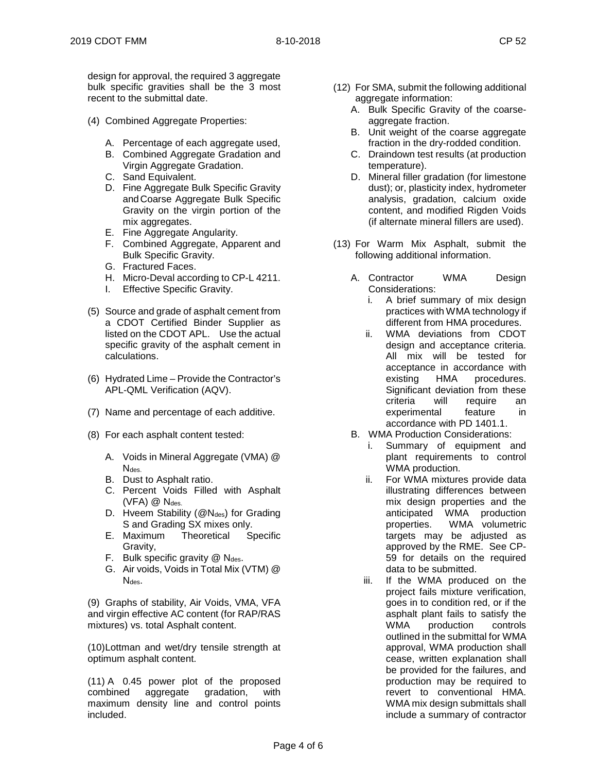design for approval, the required 3 aggregate bulk specific gravities shall be the 3 most recent to the submittal date.

- (4) Combined Aggregate Properties:
	- A. Percentage of each aggregate used,
	- B. Combined Aggregate Gradation and Virgin Aggregate Gradation.
	- C. Sand Equivalent.
	- D. Fine Aggregate Bulk Specific Gravity andCoarse Aggregate Bulk Specific Gravity on the virgin portion of the mix aggregates.
	- E. Fine Aggregate Angularity.
	- F. Combined Aggregate, Apparent and Bulk Specific Gravity.
	- G. Fractured Faces.
	- H. Micro-Deval according to CP-L 4211.
	- I. Effective Specific Gravity.
- (5) Source and grade of asphalt cement from a CDOT Certified Binder Supplier as listed on the CDOT APL. Use the actual specific gravity of the asphalt cement in calculations.
- (6) Hydrated Lime Provide the Contractor's APL-QML Verification (AQV).
- (7) Name and percentage of each additive.
- (8) For each asphalt content tested:
	- A. Voids in Mineral Aggregate (VMA) @ Ndes.
	- B. Dust to Asphalt ratio.
	- C. Percent Voids Filled with Asphalt  $(VFA)$   $@$   $N_{des.}$
	- D. Hveem Stability (@N<sub>des</sub>) for Grading S and Grading SX mixes only.
	- E. Maximum Theoretical Specific Gravity,
	- F. Bulk specific gravity  $@$  N<sub>des</sub>.
	- G. Air voids, Voids in Total Mix (VTM) @ N<sub>des</sub>.

(9) Graphs of stability, Air Voids, VMA, VFA and virgin effective AC content (for RAP/RAS mixtures) vs. total Asphalt content.

(10)Lottman and wet/dry tensile strength at optimum asphalt content.

(11) A 0.45 power plot of the proposed combined aggregate gradation, with maximum density line and control points included.

- (12) For SMA, submit the following additional aggregate information:
	- A. Bulk Specific Gravity of the coarseaggregate fraction.
	- B. Unit weight of the coarse aggregate fraction in the dry-rodded condition.
	- C. Draindown test results (at production temperature).
	- D. Mineral filler gradation (for limestone dust); or, plasticity index, hydrometer analysis, gradation, calcium oxide content, and modified Rigden Voids (if alternate mineral fillers are used).
- (13) For Warm Mix Asphalt, submit the following additional information.
	- A. Contractor WMA Design Considerations:
		- i. A brief summary of mix design practices with WMA technology if different from HMA procedures.
		- ii. WMA deviations from CDOT design and acceptance criteria. All mix will be tested for acceptance in accordance with existing HMA procedures. Significant deviation from these criteria will require an experimental feature in accordance with PD 1401.1.
	- B. WMA Production Considerations:
		- i. Summary of equipment and plant requirements to control WMA production.
		- ii. For WMA mixtures provide data illustrating differences between mix design properties and the anticipated WMA production properties. WMA volumetric targets may be adjusted as approved by the RME. See CP-59 for details on the required data to be submitted.
		- iii. If the WMA produced on the project fails mixture verification, goes in to condition red, or if the asphalt plant fails to satisfy the WMA production controls outlined in the submittal for WMA approval, WMA production shall cease, written explanation shall be provided for the failures, and production may be required to revert to conventional HMA. WMA mix design submittals shall include a summary of contractor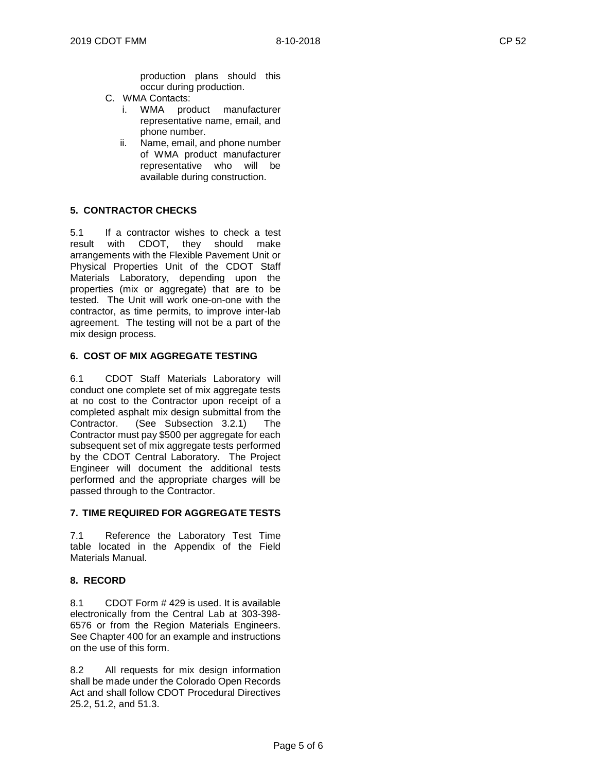- C. WMA Contacts:
	- i. WMA product manufacturer representative name, email, and phone number.
	- ii. Name, email, and phone number of WMA product manufacturer representative who will be available during construction.

### **5. CONTRACTOR CHECKS**

5.1 If a contractor wishes to check a test result with CDOT, they should make arrangements with the Flexible Pavement Unit or Physical Properties Unit of the CDOT Staff Materials Laboratory, depending upon the properties (mix or aggregate) that are to be tested. The Unit will work one-on-one with the contractor, as time permits, to improve inter-lab agreement. The testing will not be a part of the mix design process.

#### **6. COST OF MIX AGGREGATE TESTING**

6.1 CDOT Staff Materials Laboratory will conduct one complete set of mix aggregate tests at no cost to the Contractor upon receipt of a completed asphalt mix design submittal from the Contractor. (See Subsection 3.2.1) The Contractor must pay \$500 per aggregate for each subsequent set of mix aggregate tests performed by the CDOT Central Laboratory. The Project Engineer will document the additional tests performed and the appropriate charges will be passed through to the Contractor.

#### **7. TIME REQUIRED FOR AGGREGATE TESTS**

7.1 Reference the Laboratory Test Time table located in the Appendix of the Field Materials Manual.

#### **8. RECORD**

8.1 CDOT Form # 429 is used. It is available electronically from the Central Lab at 303-398- 6576 or from the Region Materials Engineers. See Chapter 400 for an example and instructions on the use of this form.

8.2 All requests for mix design information shall be made under the Colorado Open Records Act and shall follow CDOT Procedural Directives 25.2, 51.2, and 51.3.